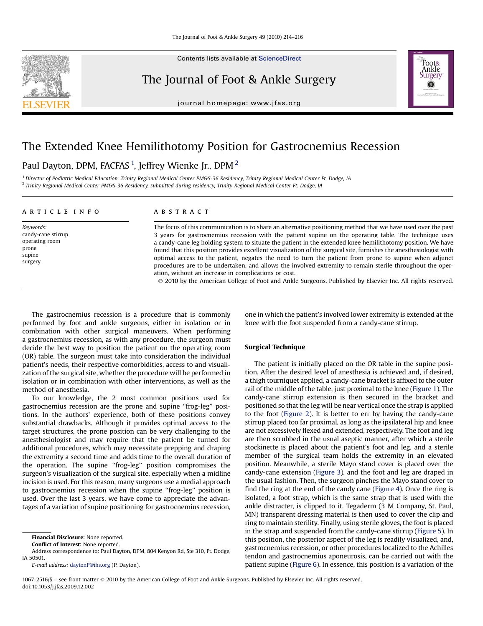Contents lists available at [ScienceDirect](www.sciencedirect.com/science/journal/10672516)

## The Journal of Foot & Ankle Surgery

journal homepage: [www.jfas.org](http://www.jfas.org)

# The Extended Knee Hemilithotomy Position for Gastrocnemius Recession

### Paul Dayton, DPM, FACFAS  $^1$ , Jeffrey Wienke Jr., DPM  $^2$

 $1$  Director of Podiatric Medical Education, Trinity Regional Medical Center PM&S-36 Residency, Trinity Regional Medical Center Ft. Dodge, IA <sup>2</sup> Trinity Regional Medical Center PM&S-36 Residency, submitted during residency, Trinity Regional Medical Center Ft. Dodge, IA

| ARTICLE INFO                                                                    | A B S T R A C T                                                                                                                                                                                                                                                                                                                                                                                                                                                                                                                                                                                                                                                                                                                                                                                                                                           |
|---------------------------------------------------------------------------------|-----------------------------------------------------------------------------------------------------------------------------------------------------------------------------------------------------------------------------------------------------------------------------------------------------------------------------------------------------------------------------------------------------------------------------------------------------------------------------------------------------------------------------------------------------------------------------------------------------------------------------------------------------------------------------------------------------------------------------------------------------------------------------------------------------------------------------------------------------------|
| Keywords:<br>candy-cane stirrup<br>operating room<br>prone<br>supine<br>surgery | The focus of this communication is to share an alternative positioning method that we have used over the past<br>3 years for gastrocnemius recession with the patient supine on the operating table. The technique uses<br>a candy-cane leg holding system to situate the patient in the extended knee hemilithotomy position. We have<br>found that this position provides excellent visualization of the surgical site, furnishes the anesthesiologist with<br>optimal access to the patient, negates the need to turn the patient from prone to supine when adjunct<br>procedures are to be undertaken, and allows the involved extremity to remain sterile throughout the oper-<br>ation, without an increase in complications or cost.<br>© 2010 by the American College of Foot and Ankle Surgeons. Published by Elsevier Inc. All rights reserved. |

The gastrocnemius recession is a procedure that is commonly performed by foot and ankle surgeons, either in isolation or in combination with other surgical maneuvers. When performing a gastrocnemius recession, as with any procedure, the surgeon must decide the best way to position the patient on the operating room (OR) table. The surgeon must take into consideration the individual patient's needs, their respective comorbidities, access to and visualization of the surgical site, whether the procedure will be performed in isolation or in combination with other interventions, as well as the method of anesthesia.

To our knowledge, the 2 most common positions used for gastrocnemius recession are the prone and supine ''frog-leg'' positions. In the authors' experience, both of these positions convey substantial drawbacks. Although it provides optimal access to the target structures, the prone position can be very challenging to the anesthesiologist and may require that the patient be turned for additional procedures, which may necessitate prepping and draping the extremity a second time and adds time to the overall duration of the operation. The supine ''frog-leg'' position compromises the surgeon's visualization of the surgical site, especially when a midline incision is used. For this reason, many surgeons use a medial approach to gastrocnemius recession when the supine ''frog-leg'' position is used. Over the last 3 years, we have come to appreciate the advantages of a variation of supine positioning for gastrocnemius recession,

Financial Disclosure: None reported.

Conflict of Interest: None reported.

E-mail address: [daytonP@ihs.org](mailto:daytonP@ihs.org) (P. Dayton).

one in which the patient's involved lower extremity is extended at the knee with the foot suspended from a candy-cane stirrup.

#### Surgical Technique

The patient is initially placed on the OR table in the supine position. After the desired level of anesthesia is achieved and, if desired, a thigh tourniquet applied, a candy-cane bracket is affixed to the outer rail of the middle of the table, just proximal to the knee ([Figure 1\)](#page-1-0). The candy-cane stirrup extension is then secured in the bracket and positioned so that the leg will be near vertical once the strap is applied to the foot [\(Figure 2](#page-1-0)). It is better to err by having the candy-cane stirrup placed too far proximal, as long as the ipsilateral hip and knee are not excessively flexed and extended, respectively. The foot and leg are then scrubbed in the usual aseptic manner, after which a sterile stockinette is placed about the patient's foot and leg, and a sterile member of the surgical team holds the extremity in an elevated position. Meanwhile, a sterile Mayo stand cover is placed over the candy-cane extension ([Figure 3\)](#page-1-0), and the foot and leg are draped in the usual fashion. Then, the surgeon pinches the Mayo stand cover to find the ring at the end of the candy cane ([Figure 4](#page-1-0)). Once the ring is isolated, a foot strap, which is the same strap that is used with the ankle distracter, is clipped to it. Tegaderm (3 M Company, St. Paul, MN) transparent dressing material is then used to cover the clip and ring to maintain sterility. Finally, using sterile gloves, the foot is placed in the strap and suspended from the candy-cane stirrup [\(Figure 5\)](#page-2-0). In this position, the posterior aspect of the leg is readily visualized, and, gastrocnemius recession, or other procedures localized to the Achilles tendon and gastrocnemius aponeurosis, can be carried out with the patient supine [\(Figure 6\)](#page-2-0). In essence, this position is a variation of the

1067-2516/\$ – see front matter © 2010 by the American College of Foot and Ankle Surgeons. Published by Elsevier Inc. All rights reserved. doi:10.1053/j.jfas.2009.12.002



Address correspondence to: Paul Dayton, DPM, 804 Kenyon Rd, Ste 310, Ft. Dodge, IA 50501.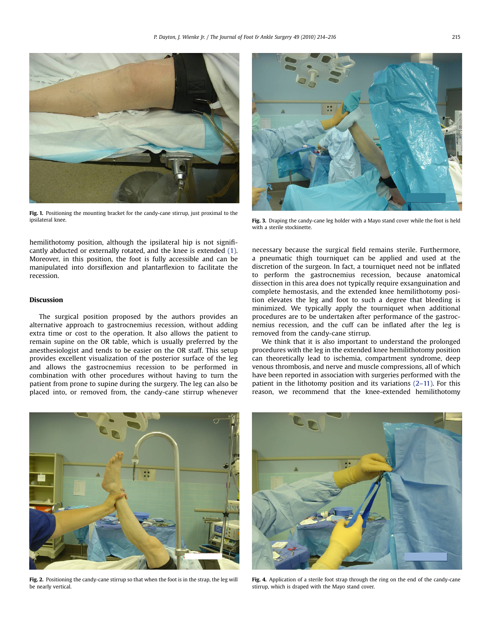<span id="page-1-0"></span>

Fig. 1. Positioning the mounting bracket for the candy-cane stirrup, just proximal to the ipsilateral knee.

hemilithotomy position, although the ipsilateral hip is not significantly abducted or externally rotated, and the knee is extended [\(1\)](#page-2-0). Moreover, in this position, the foot is fully accessible and can be manipulated into dorsiflexion and plantarflexion to facilitate the recession.

#### Discussion

The surgical position proposed by the authors provides an alternative approach to gastrocnemius recession, without adding extra time or cost to the operation. It also allows the patient to remain supine on the OR table, which is usually preferred by the anesthesiologist and tends to be easier on the OR staff. This setup provides excellent visualization of the posterior surface of the leg and allows the gastrocnemius recession to be performed in combination with other procedures without having to turn the patient from prone to supine during the surgery. The leg can also be placed into, or removed from, the candy-cane stirrup whenever



Fig. 3. Draping the candy-cane leg holder with a Mayo stand cover while the foot is held with a sterile stockinette.

necessary because the surgical field remains sterile. Furthermore, a pneumatic thigh tourniquet can be applied and used at the discretion of the surgeon. In fact, a tourniquet need not be inflated to perform the gastrocnemius recession, because anatomical dissection in this area does not typically require exsanguination and complete hemostasis, and the extended knee hemilithotomy position elevates the leg and foot to such a degree that bleeding is minimized. We typically apply the tourniquet when additional procedures are to be undertaken after performance of the gastrocnemius recession, and the cuff can be inflated after the leg is removed from the candy-cane stirrup.

We think that it is also important to understand the prolonged procedures with the leg in the extended knee hemilithotomy position can theoretically lead to ischemia, compartment syndrome, deep venous thrombosis, and nerve and muscle compressions, all of which have been reported in association with surgeries performed with the patient in the lithotomy position and its variations [\(2–11\)](#page-2-0). For this reason, we recommend that the knee-extended hemilithotomy



Fig. 2. Positioning the candy-cane stirrup so that when the foot is in the strap, the leg will be nearly vertical.



Fig. 4. Application of a sterile foot strap through the ring on the end of the candy-cane stirrup, which is draped with the Mayo stand cover.